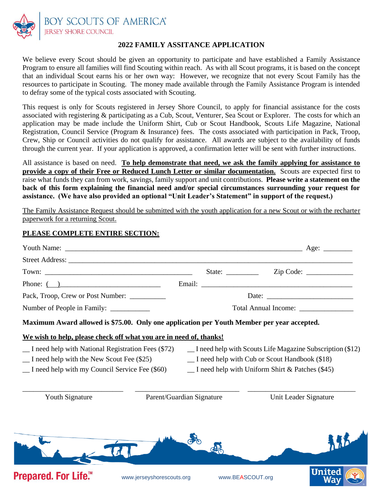

DY SCOUTS OF AMERICA® **JERSEY SHORE COUNCIL** 

## **2022 FAMILY ASSITANCE APPLICATION**

We believe every Scout should be given an opportunity to participate and have established a Family Assistance Program to ensure all families will find Scouting within reach. As with all Scout programs, it is based on the concept that an individual Scout earns his or her own way: However, we recognize that not every Scout Family has the resources to participate in Scouting. The money made available through the Family Assistance Program is intended to defray some of the typical costs associated with Scouting.

This request is only for Scouts registered in Jersey Shore Council, to apply for financial assistance for the costs associated with registering & participating as a Cub, Scout, Venturer, Sea Scout or Explorer. The costs for which an application may be made include the Uniform Shirt, Cub or Scout Handbook, Scouts Life Magazine, National Registration, Council Service (Program & Insurance) fees. The costs associated with participation in Pack, Troop, Crew, Ship or Council activities do not qualify for assistance. All awards are subject to the availability of funds through the current year. If your application is approved, a confirmation letter will be sent with further instructions.

All assistance is based on need. **To help demonstrate that need, we ask the family applying for assistance to provide a copy of their Free or Reduced Lunch Letter or similar documentation.** Scouts are expected first to raise what funds they can from work, savings, family support and unit contributions. **Please write a statement on the back of this form explaining the financial need and/or special circumstances surrounding your request for assistance. (We have also provided an optional "Unit Leader's Statement" in support of the request.)**

The Family Assistance Request should be submitted with the youth application for a new Scout or with the recharter paperwork for a returning Scout.

## **PLEASE COMPLETE ENTIRE SECTION:**

| Phone: $($ )                                                                                                                                                       |                           |                                                                                                                                                                                    |                       |  |
|--------------------------------------------------------------------------------------------------------------------------------------------------------------------|---------------------------|------------------------------------------------------------------------------------------------------------------------------------------------------------------------------------|-----------------------|--|
| Pack, Troop, Crew or Post Number: __________                                                                                                                       |                           |                                                                                                                                                                                    |                       |  |
| Number of People in Family: __________                                                                                                                             |                           | Total Annual Income: _______________                                                                                                                                               |                       |  |
| Maximum Award allowed is \$75.00. Only one application per Youth Member per year accepted.                                                                         |                           |                                                                                                                                                                                    |                       |  |
| We wish to help, please check off what you are in need of, thanks!                                                                                                 |                           |                                                                                                                                                                                    |                       |  |
| _I need help with National Registration Fees (\$72)<br>$\Box$ I need help with the New Scout Fee (\$25)<br>$\Gamma$ I need help with my Council Service Fee (\$60) |                           | $\Box$ I need help with Scouts Life Magazine Subscription (\$12)<br>$\Box$ I need help with Cub or Scout Handbook (\$18)<br>$\Box$ I need help with Uniform Shirt & Patches (\$45) |                       |  |
| <b>Youth Signature</b>                                                                                                                                             | Parent/Guardian Signature |                                                                                                                                                                                    | Unit Leader Signature |  |
|                                                                                                                                                                    |                           |                                                                                                                                                                                    |                       |  |
| Prepared. For Life.™                                                                                                                                               | www.jerseyshorescouts.org | www.BEASCOUT.org                                                                                                                                                                   | <b>United</b><br>Wav  |  |